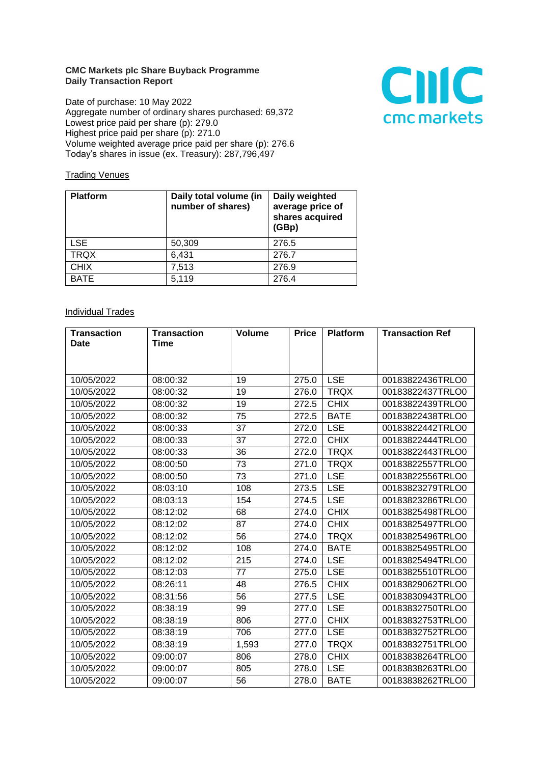## **CMC Markets plc Share Buyback Programme Daily Transaction Report**

Date of purchase: 10 May 2022 Aggregate number of ordinary shares purchased: 69,372 Lowest price paid per share (p): 279.0 Highest price paid per share (p): 271.0 Volume weighted average price paid per share (p): 276.6 Today's shares in issue (ex. Treasury): 287,796,497



## **Trading Venues**

| <b>Platform</b> | Daily total volume (in<br>number of shares) | Daily weighted<br>average price of<br>shares acquired<br>(GBp) |
|-----------------|---------------------------------------------|----------------------------------------------------------------|
| <b>LSE</b>      | 50,309                                      | 276.5                                                          |
| <b>TRQX</b>     | 6,431                                       | 276.7                                                          |
| <b>CHIX</b>     | 7,513                                       | 276.9                                                          |
| <b>BATE</b>     | 5,119                                       | 276.4                                                          |

## **Individual Trades**

| <b>Transaction</b> | <b>Transaction</b> | <b>Volume</b> | <b>Price</b> | <b>Platform</b> | <b>Transaction Ref</b> |
|--------------------|--------------------|---------------|--------------|-----------------|------------------------|
| Date               | Time               |               |              |                 |                        |
|                    |                    |               |              |                 |                        |
|                    |                    |               |              |                 |                        |
| 10/05/2022         | 08:00:32           | 19            | 275.0        | <b>LSE</b>      | 00183822436TRLO0       |
| 10/05/2022         | 08:00:32           | 19            | 276.0        | <b>TRQX</b>     | 00183822437TRLO0       |
| 10/05/2022         | 08:00:32           | 19            | 272.5        | <b>CHIX</b>     | 00183822439TRLO0       |
| 10/05/2022         | 08:00:32           | 75            | 272.5        | <b>BATE</b>     | 00183822438TRLO0       |
| 10/05/2022         | 08:00:33           | 37            | 272.0        | <b>LSE</b>      | 00183822442TRLO0       |
| 10/05/2022         | 08:00:33           | 37            | 272.0        | <b>CHIX</b>     | 00183822444TRLO0       |
| 10/05/2022         | 08:00:33           | 36            | 272.0        | <b>TRQX</b>     | 00183822443TRLO0       |
| 10/05/2022         | 08:00:50           | 73            | 271.0        | <b>TRQX</b>     | 00183822557TRLO0       |
| 10/05/2022         | 08:00:50           | 73            | 271.0        | <b>LSE</b>      | 00183822556TRLO0       |
| 10/05/2022         | 08:03:10           | 108           | 273.5        | <b>LSE</b>      | 00183823279TRLO0       |
| 10/05/2022         | 08:03:13           | 154           | 274.5        | <b>LSE</b>      | 00183823286TRLO0       |
| 10/05/2022         | 08:12:02           | 68            | 274.0        | <b>CHIX</b>     | 00183825498TRLO0       |
| 10/05/2022         | 08:12:02           | 87            | 274.0        | <b>CHIX</b>     | 00183825497TRLO0       |
| 10/05/2022         | 08:12:02           | 56            | 274.0        | <b>TRQX</b>     | 00183825496TRLO0       |
| 10/05/2022         | 08:12:02           | 108           | 274.0        | <b>BATE</b>     | 00183825495TRLO0       |
| 10/05/2022         | 08:12:02           | 215           | 274.0        | <b>LSE</b>      | 00183825494TRLO0       |
| 10/05/2022         | 08:12:03           | 77            | 275.0        | <b>LSE</b>      | 00183825510TRLO0       |
| 10/05/2022         | 08:26:11           | 48            | 276.5        | <b>CHIX</b>     | 00183829062TRLO0       |
| 10/05/2022         | 08:31:56           | 56            | 277.5        | <b>LSE</b>      | 00183830943TRLO0       |
| 10/05/2022         | 08:38:19           | 99            | 277.0        | <b>LSE</b>      | 00183832750TRLO0       |
| 10/05/2022         | 08:38:19           | 806           | 277.0        | <b>CHIX</b>     | 00183832753TRLO0       |
| 10/05/2022         | 08:38:19           | 706           | 277.0        | <b>LSE</b>      | 00183832752TRLO0       |
| 10/05/2022         | 08:38:19           | 1,593         | 277.0        | <b>TRQX</b>     | 00183832751TRLO0       |
| 10/05/2022         | 09:00:07           | 806           | 278.0        | <b>CHIX</b>     | 00183838264TRLO0       |
| 10/05/2022         | 09:00:07           | 805           | 278.0        | <b>LSE</b>      | 00183838263TRLO0       |
| 10/05/2022         | 09:00:07           | 56            | 278.0        | <b>BATE</b>     | 00183838262TRLO0       |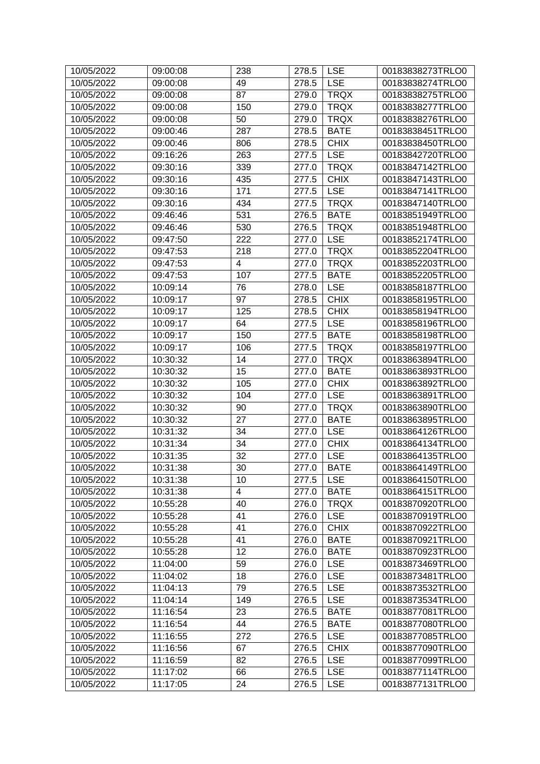| 10/05/2022 | 09:00:08 | 238                     | 278.5 | <b>LSE</b>  | 00183838273TRLO0 |
|------------|----------|-------------------------|-------|-------------|------------------|
| 10/05/2022 | 09:00:08 | 49                      | 278.5 | <b>LSE</b>  | 00183838274TRLO0 |
| 10/05/2022 | 09:00:08 | 87                      | 279.0 | <b>TRQX</b> | 00183838275TRLO0 |
| 10/05/2022 | 09:00:08 | 150                     | 279.0 | <b>TRQX</b> | 00183838277TRLO0 |
| 10/05/2022 | 09:00:08 | 50                      | 279.0 | <b>TRQX</b> | 00183838276TRLO0 |
| 10/05/2022 | 09:00:46 | 287                     | 278.5 | <b>BATE</b> | 00183838451TRLO0 |
| 10/05/2022 | 09:00:46 | 806                     | 278.5 | <b>CHIX</b> | 00183838450TRLO0 |
| 10/05/2022 | 09:16:26 | 263                     | 277.5 | <b>LSE</b>  | 00183842720TRLO0 |
| 10/05/2022 | 09:30:16 | 339                     | 277.0 | <b>TRQX</b> | 00183847142TRLO0 |
| 10/05/2022 | 09:30:16 | 435                     | 277.5 | <b>CHIX</b> | 00183847143TRLO0 |
| 10/05/2022 | 09:30:16 | 171                     | 277.5 | <b>LSE</b>  | 00183847141TRLO0 |
| 10/05/2022 | 09:30:16 | 434                     | 277.5 | <b>TRQX</b> | 00183847140TRLO0 |
| 10/05/2022 | 09:46:46 | 531                     | 276.5 | <b>BATE</b> | 00183851949TRLO0 |
| 10/05/2022 | 09:46:46 | 530                     | 276.5 | <b>TRQX</b> | 00183851948TRLO0 |
| 10/05/2022 | 09:47:50 | 222                     | 277.0 | <b>LSE</b>  | 00183852174TRLO0 |
| 10/05/2022 | 09:47:53 | 218                     | 277.0 | <b>TRQX</b> | 00183852204TRLO0 |
| 10/05/2022 | 09:47:53 | $\overline{\mathbf{4}}$ | 277.0 | <b>TRQX</b> | 00183852203TRLO0 |
| 10/05/2022 | 09:47:53 | 107                     | 277.5 | <b>BATE</b> | 00183852205TRLO0 |
| 10/05/2022 | 10:09:14 | 76                      | 278.0 | <b>LSE</b>  | 00183858187TRLO0 |
| 10/05/2022 | 10:09:17 | 97                      | 278.5 | <b>CHIX</b> | 00183858195TRLO0 |
| 10/05/2022 | 10:09:17 | 125                     | 278.5 | <b>CHIX</b> | 00183858194TRLO0 |
| 10/05/2022 | 10:09:17 | 64                      | 277.5 | <b>LSE</b>  | 00183858196TRLO0 |
| 10/05/2022 | 10:09:17 | 150                     | 277.5 | <b>BATE</b> | 00183858198TRLO0 |
| 10/05/2022 | 10:09:17 | 106                     | 277.5 | <b>TRQX</b> | 00183858197TRLO0 |
| 10/05/2022 | 10:30:32 | 14                      | 277.0 | <b>TRQX</b> | 00183863894TRLO0 |
| 10/05/2022 | 10:30:32 | 15                      | 277.0 | <b>BATE</b> | 00183863893TRLO0 |
| 10/05/2022 | 10:30:32 | 105                     | 277.0 | <b>CHIX</b> | 00183863892TRLO0 |
| 10/05/2022 | 10:30:32 | 104                     | 277.0 | <b>LSE</b>  | 00183863891TRLO0 |
| 10/05/2022 | 10:30:32 | 90                      | 277.0 | <b>TRQX</b> | 00183863890TRLO0 |
| 10/05/2022 | 10:30:32 | 27                      | 277.0 | <b>BATE</b> | 00183863895TRLO0 |
| 10/05/2022 | 10:31:32 | 34                      | 277.0 | <b>LSE</b>  | 00183864126TRLO0 |
| 10/05/2022 | 10:31:34 | 34                      | 277.0 | <b>CHIX</b> | 00183864134TRLO0 |
| 10/05/2022 | 10:31:35 | 32                      | 277.0 | <b>LSE</b>  | 00183864135TRLO0 |
| 10/05/2022 | 10:31:38 | 30                      | 277.0 | <b>BATE</b> | 00183864149TRLO0 |
| 10/05/2022 | 10:31:38 | 10                      | 277.5 | <b>LSE</b>  | 00183864150TRLO0 |
| 10/05/2022 | 10:31:38 | $\overline{4}$          | 277.0 | <b>BATE</b> | 00183864151TRLO0 |
| 10/05/2022 | 10:55:28 | 40                      | 276.0 | <b>TRQX</b> | 00183870920TRLO0 |
| 10/05/2022 | 10:55:28 | 41                      | 276.0 | <b>LSE</b>  | 00183870919TRLO0 |
| 10/05/2022 | 10:55:28 | 41                      | 276.0 | <b>CHIX</b> | 00183870922TRLO0 |
| 10/05/2022 | 10:55:28 | 41                      | 276.0 | <b>BATE</b> | 00183870921TRLO0 |
| 10/05/2022 | 10:55:28 | 12                      | 276.0 | <b>BATE</b> | 00183870923TRLO0 |
| 10/05/2022 | 11:04:00 | 59                      | 276.0 | <b>LSE</b>  | 00183873469TRLO0 |
| 10/05/2022 | 11:04:02 | 18                      | 276.0 | <b>LSE</b>  | 00183873481TRLO0 |
| 10/05/2022 | 11:04:13 | 79                      | 276.5 | <b>LSE</b>  | 00183873532TRLO0 |
| 10/05/2022 | 11:04:14 | 149                     | 276.5 | <b>LSE</b>  | 00183873534TRLO0 |
| 10/05/2022 | 11:16:54 | 23                      | 276.5 | <b>BATE</b> | 00183877081TRLO0 |
| 10/05/2022 | 11:16:54 | 44                      | 276.5 | <b>BATE</b> | 00183877080TRLO0 |
| 10/05/2022 | 11:16:55 | 272                     | 276.5 | <b>LSE</b>  | 00183877085TRLO0 |
| 10/05/2022 | 11:16:56 | 67                      | 276.5 | <b>CHIX</b> | 00183877090TRLO0 |
| 10/05/2022 | 11:16:59 | 82                      | 276.5 | <b>LSE</b>  | 00183877099TRLO0 |
| 10/05/2022 | 11:17:02 | 66                      | 276.5 | <b>LSE</b>  | 00183877114TRLO0 |
| 10/05/2022 | 11:17:05 | 24                      | 276.5 | <b>LSE</b>  | 00183877131TRLO0 |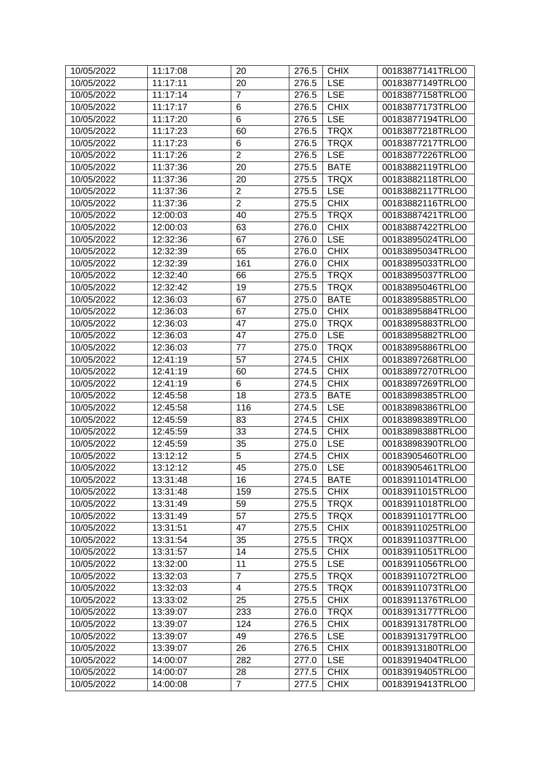| 10/05/2022 | 11:17:08 | 20             | 276.5 | <b>CHIX</b> | 00183877141TRLO0 |
|------------|----------|----------------|-------|-------------|------------------|
| 10/05/2022 | 11:17:11 | 20             | 276.5 | <b>LSE</b>  | 00183877149TRLO0 |
| 10/05/2022 | 11:17:14 | $\overline{7}$ | 276.5 | <b>LSE</b>  | 00183877158TRLO0 |
| 10/05/2022 | 11:17:17 | 6              | 276.5 | <b>CHIX</b> | 00183877173TRLO0 |
| 10/05/2022 | 11:17:20 | 6              | 276.5 | <b>LSE</b>  | 00183877194TRLO0 |
| 10/05/2022 | 11:17:23 | 60             | 276.5 | <b>TRQX</b> | 00183877218TRLO0 |
| 10/05/2022 | 11:17:23 | 6              | 276.5 | <b>TRQX</b> | 00183877217TRLO0 |
| 10/05/2022 | 11:17:26 | $\overline{2}$ | 276.5 | <b>LSE</b>  | 00183877226TRLO0 |
| 10/05/2022 | 11:37:36 | 20             | 275.5 | <b>BATE</b> | 00183882119TRLO0 |
| 10/05/2022 | 11:37:36 | 20             | 275.5 | <b>TRQX</b> | 00183882118TRLO0 |
| 10/05/2022 | 11:37:36 | $\overline{2}$ | 275.5 | <b>LSE</b>  | 00183882117TRLO0 |
| 10/05/2022 | 11:37:36 | $\overline{2}$ | 275.5 | <b>CHIX</b> | 00183882116TRLO0 |
| 10/05/2022 | 12:00:03 | 40             | 275.5 | <b>TRQX</b> | 00183887421TRLO0 |
| 10/05/2022 | 12:00:03 | 63             | 276.0 | <b>CHIX</b> | 00183887422TRLO0 |
| 10/05/2022 | 12:32:36 | 67             | 276.0 | <b>LSE</b>  | 00183895024TRLO0 |
| 10/05/2022 | 12:32:39 | 65             | 276.0 | <b>CHIX</b> | 00183895034TRLO0 |
| 10/05/2022 | 12:32:39 | 161            | 276.0 | <b>CHIX</b> | 00183895033TRLO0 |
| 10/05/2022 | 12:32:40 | 66             | 275.5 | <b>TRQX</b> | 00183895037TRLO0 |
| 10/05/2022 | 12:32:42 | 19             | 275.5 | <b>TRQX</b> | 00183895046TRLO0 |
| 10/05/2022 | 12:36:03 | 67             | 275.0 | <b>BATE</b> | 00183895885TRLO0 |
| 10/05/2022 | 12:36:03 | 67             | 275.0 | <b>CHIX</b> | 00183895884TRLO0 |
| 10/05/2022 | 12:36:03 | 47             | 275.0 | <b>TRQX</b> | 00183895883TRLO0 |
| 10/05/2022 | 12:36:03 | 47             | 275.0 | <b>LSE</b>  | 00183895882TRLO0 |
| 10/05/2022 | 12:36:03 | 77             | 275.0 | <b>TRQX</b> | 00183895886TRLO0 |
| 10/05/2022 | 12:41:19 | 57             | 274.5 | <b>CHIX</b> | 00183897268TRLO0 |
| 10/05/2022 | 12:41:19 | 60             | 274.5 | <b>CHIX</b> | 00183897270TRLO0 |
| 10/05/2022 | 12:41:19 | 6              | 274.5 | <b>CHIX</b> | 00183897269TRLO0 |
| 10/05/2022 | 12:45:58 | 18             | 273.5 | <b>BATE</b> | 00183898385TRLO0 |
| 10/05/2022 | 12:45:58 | 116            | 274.5 | <b>LSE</b>  | 00183898386TRLO0 |
| 10/05/2022 | 12:45:59 | 83             | 274.5 | <b>CHIX</b> | 00183898389TRLO0 |
| 10/05/2022 | 12:45:59 | 33             | 274.5 | <b>CHIX</b> | 00183898388TRLO0 |
| 10/05/2022 | 12:45:59 | 35             | 275.0 | <b>LSE</b>  | 00183898390TRLO0 |
| 10/05/2022 | 13:12:12 | 5              | 274.5 | <b>CHIX</b> | 00183905460TRLO0 |
| 10/05/2022 | 13:12:12 | 45             | 275.0 | <b>LSE</b>  | 00183905461TRLO0 |
| 10/05/2022 | 13:31:48 | 16             | 274.5 | <b>BATE</b> | 00183911014TRLO0 |
| 10/05/2022 | 13:31:48 | 159            | 275.5 | <b>CHIX</b> | 00183911015TRLO0 |
| 10/05/2022 | 13:31:49 | 59             | 275.5 | <b>TRQX</b> | 00183911018TRLO0 |
| 10/05/2022 | 13:31:49 | 57             | 275.5 | <b>TRQX</b> | 00183911017TRLO0 |
| 10/05/2022 | 13:31:51 | 47             | 275.5 | <b>CHIX</b> | 00183911025TRLO0 |
| 10/05/2022 | 13:31:54 | 35             | 275.5 | <b>TRQX</b> | 00183911037TRLO0 |
| 10/05/2022 | 13:31:57 | 14             | 275.5 | <b>CHIX</b> | 00183911051TRLO0 |
| 10/05/2022 | 13:32:00 | 11             | 275.5 | <b>LSE</b>  | 00183911056TRLO0 |
| 10/05/2022 | 13:32:03 | $\overline{7}$ | 275.5 | <b>TRQX</b> | 00183911072TRLO0 |
| 10/05/2022 | 13:32:03 | 4              | 275.5 | <b>TRQX</b> | 00183911073TRLO0 |
| 10/05/2022 | 13:33:02 | 25             | 275.5 | <b>CHIX</b> | 00183911376TRLO0 |
| 10/05/2022 | 13:39:07 | 233            | 276.0 | <b>TRQX</b> | 00183913177TRLO0 |
| 10/05/2022 | 13:39:07 | 124            | 276.5 | <b>CHIX</b> | 00183913178TRLO0 |
| 10/05/2022 | 13:39:07 | 49             | 276.5 | <b>LSE</b>  | 00183913179TRLO0 |
| 10/05/2022 | 13:39:07 | 26             | 276.5 | <b>CHIX</b> | 00183913180TRLO0 |
| 10/05/2022 | 14:00:07 | 282            | 277.0 | <b>LSE</b>  | 00183919404TRLO0 |
| 10/05/2022 | 14:00:07 | 28             | 277.5 | <b>CHIX</b> | 00183919405TRLO0 |
| 10/05/2022 | 14:00:08 | $\overline{7}$ | 277.5 | <b>CHIX</b> | 00183919413TRLO0 |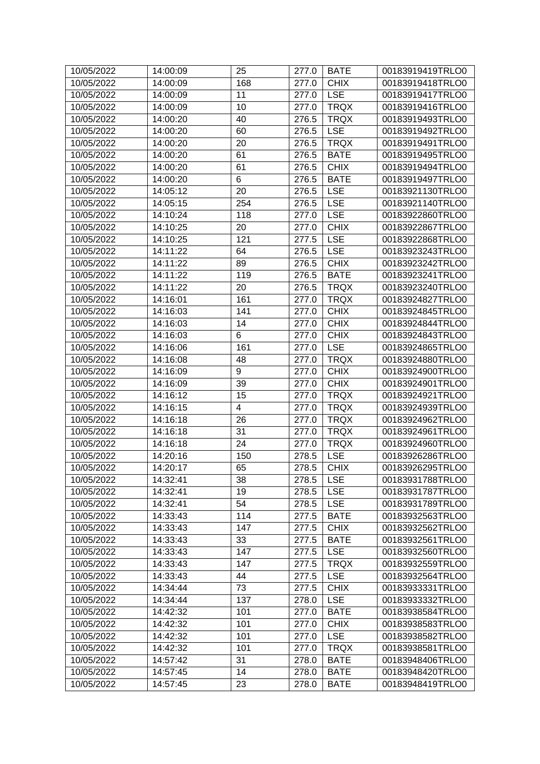| 10/05/2022 | 14:00:09 | 25    | 277.0 | <b>BATE</b> | 00183919419TRLO0 |
|------------|----------|-------|-------|-------------|------------------|
| 10/05/2022 | 14:00:09 | 168   | 277.0 | <b>CHIX</b> | 00183919418TRLO0 |
| 10/05/2022 | 14:00:09 | 11    | 277.0 | <b>LSE</b>  | 00183919417TRLO0 |
| 10/05/2022 | 14:00:09 | 10    | 277.0 | <b>TRQX</b> | 00183919416TRLO0 |
| 10/05/2022 | 14:00:20 | 40    | 276.5 | <b>TRQX</b> | 00183919493TRLO0 |
| 10/05/2022 | 14:00:20 | 60    | 276.5 | <b>LSE</b>  | 00183919492TRLO0 |
| 10/05/2022 | 14:00:20 | 20    | 276.5 | <b>TRQX</b> | 00183919491TRLO0 |
| 10/05/2022 | 14:00:20 | 61    | 276.5 | <b>BATE</b> | 00183919495TRLO0 |
| 10/05/2022 | 14:00:20 | 61    | 276.5 | <b>CHIX</b> | 00183919494TRLO0 |
| 10/05/2022 | 14:00:20 | 6     | 276.5 | <b>BATE</b> | 00183919497TRLO0 |
| 10/05/2022 | 14:05:12 | 20    | 276.5 | <b>LSE</b>  | 00183921130TRLO0 |
| 10/05/2022 | 14:05:15 | 254   | 276.5 | <b>LSE</b>  | 00183921140TRLO0 |
| 10/05/2022 | 14:10:24 | 118   | 277.0 | <b>LSE</b>  | 00183922860TRLO0 |
| 10/05/2022 | 14:10:25 | 20    | 277.0 | <b>CHIX</b> | 00183922867TRLO0 |
| 10/05/2022 | 14:10:25 | 121   | 277.5 | <b>LSE</b>  | 00183922868TRLO0 |
| 10/05/2022 | 14:11:22 | 64    | 276.5 | <b>LSE</b>  | 00183923243TRLO0 |
| 10/05/2022 | 14:11:22 | 89    | 276.5 | <b>CHIX</b> | 00183923242TRLO0 |
| 10/05/2022 | 14:11:22 | 119   | 276.5 | <b>BATE</b> | 00183923241TRLO0 |
| 10/05/2022 | 14:11:22 | 20    | 276.5 | <b>TRQX</b> | 00183923240TRLO0 |
| 10/05/2022 | 14:16:01 | 161   | 277.0 | <b>TRQX</b> | 00183924827TRLO0 |
| 10/05/2022 | 14:16:03 | 141   | 277.0 | <b>CHIX</b> | 00183924845TRLO0 |
| 10/05/2022 | 14:16:03 | 14    | 277.0 | <b>CHIX</b> | 00183924844TRLO0 |
| 10/05/2022 | 14:16:03 | $\,6$ | 277.0 | <b>CHIX</b> | 00183924843TRLO0 |
| 10/05/2022 | 14:16:06 | 161   | 277.0 | <b>LSE</b>  | 00183924865TRLO0 |
| 10/05/2022 | 14:16:08 | 48    | 277.0 | <b>TRQX</b> | 00183924880TRLO0 |
| 10/05/2022 | 14:16:09 | 9     | 277.0 | <b>CHIX</b> | 00183924900TRLO0 |
| 10/05/2022 | 14:16:09 | 39    | 277.0 | <b>CHIX</b> | 00183924901TRLO0 |
| 10/05/2022 | 14:16:12 | 15    | 277.0 | <b>TRQX</b> | 00183924921TRLO0 |
| 10/05/2022 | 14:16:15 | 4     | 277.0 | <b>TRQX</b> | 00183924939TRLO0 |
| 10/05/2022 | 14:16:18 | 26    | 277.0 | <b>TRQX</b> | 00183924962TRLO0 |
| 10/05/2022 | 14:16:18 | 31    | 277.0 | <b>TRQX</b> | 00183924961TRLO0 |
| 10/05/2022 | 14:16:18 | 24    | 277.0 | <b>TRQX</b> | 00183924960TRLO0 |
| 10/05/2022 | 14:20:16 | 150   | 278.5 | <b>LSE</b>  | 00183926286TRLO0 |
| 10/05/2022 | 14:20:17 | 65    | 278.5 | <b>CHIX</b> | 00183926295TRLO0 |
| 10/05/2022 | 14:32:41 | 38    | 278.5 | <b>LSE</b>  | 00183931788TRLO0 |
| 10/05/2022 | 14:32:41 | 19    | 278.5 | <b>LSE</b>  | 00183931787TRLO0 |
| 10/05/2022 | 14:32:41 | 54    | 278.5 | <b>LSE</b>  | 00183931789TRLO0 |
| 10/05/2022 | 14:33:43 | 114   | 277.5 | <b>BATE</b> | 00183932563TRLO0 |
| 10/05/2022 | 14:33:43 | 147   | 277.5 | <b>CHIX</b> | 00183932562TRLO0 |
| 10/05/2022 | 14:33:43 | 33    | 277.5 | <b>BATE</b> | 00183932561TRLO0 |
| 10/05/2022 | 14:33:43 | 147   | 277.5 | <b>LSE</b>  | 00183932560TRLO0 |
| 10/05/2022 | 14:33:43 | 147   | 277.5 | <b>TRQX</b> | 00183932559TRLO0 |
| 10/05/2022 | 14:33:43 | 44    | 277.5 | <b>LSE</b>  | 00183932564TRLO0 |
| 10/05/2022 | 14:34:44 | 73    | 277.5 | <b>CHIX</b> | 00183933331TRLO0 |
| 10/05/2022 | 14:34:44 | 137   | 278.0 | <b>LSE</b>  | 00183933332TRLO0 |
| 10/05/2022 | 14:42:32 | 101   | 277.0 | <b>BATE</b> | 00183938584TRLO0 |
| 10/05/2022 | 14:42:32 | 101   | 277.0 | <b>CHIX</b> | 00183938583TRLO0 |
| 10/05/2022 | 14:42:32 | 101   | 277.0 | <b>LSE</b>  | 00183938582TRLO0 |
| 10/05/2022 | 14:42:32 | 101   | 277.0 | <b>TRQX</b> | 00183938581TRLO0 |
| 10/05/2022 | 14:57:42 | 31    | 278.0 | <b>BATE</b> | 00183948406TRLO0 |
| 10/05/2022 | 14:57:45 | 14    | 278.0 | <b>BATE</b> | 00183948420TRLO0 |
| 10/05/2022 | 14:57:45 | 23    | 278.0 | <b>BATE</b> | 00183948419TRLO0 |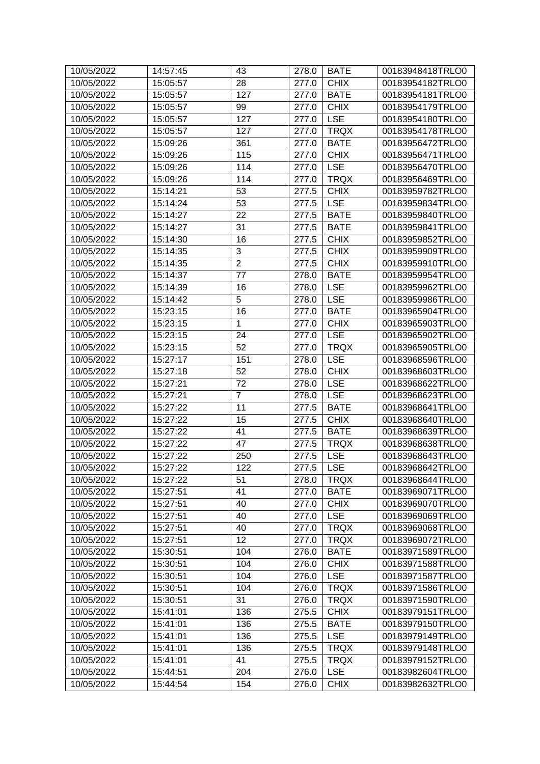| 10/05/2022 | 14:57:45 | 43             | 278.0 | <b>BATE</b> | 00183948418TRLO0 |
|------------|----------|----------------|-------|-------------|------------------|
| 10/05/2022 | 15:05:57 | 28             | 277.0 | <b>CHIX</b> | 00183954182TRLO0 |
| 10/05/2022 | 15:05:57 | 127            | 277.0 | <b>BATE</b> | 00183954181TRLO0 |
| 10/05/2022 | 15:05:57 | 99             | 277.0 | <b>CHIX</b> | 00183954179TRLO0 |
| 10/05/2022 | 15:05:57 | 127            | 277.0 | <b>LSE</b>  | 00183954180TRLO0 |
| 10/05/2022 | 15:05:57 | 127            | 277.0 | <b>TRQX</b> | 00183954178TRLO0 |
| 10/05/2022 | 15:09:26 | 361            | 277.0 | <b>BATE</b> | 00183956472TRLO0 |
| 10/05/2022 | 15:09:26 | 115            | 277.0 | <b>CHIX</b> | 00183956471TRLO0 |
| 10/05/2022 | 15:09:26 | 114            | 277.0 | <b>LSE</b>  | 00183956470TRLO0 |
| 10/05/2022 | 15:09:26 | 114            | 277.0 | <b>TRQX</b> | 00183956469TRLO0 |
| 10/05/2022 | 15:14:21 | 53             | 277.5 | <b>CHIX</b> | 00183959782TRLO0 |
| 10/05/2022 | 15:14:24 | 53             | 277.5 | <b>LSE</b>  | 00183959834TRLO0 |
| 10/05/2022 | 15:14:27 | 22             | 277.5 | <b>BATE</b> | 00183959840TRLO0 |
| 10/05/2022 | 15:14:27 | 31             | 277.5 | <b>BATE</b> | 00183959841TRLO0 |
| 10/05/2022 | 15:14:30 | 16             | 277.5 | <b>CHIX</b> | 00183959852TRLO0 |
| 10/05/2022 | 15:14:35 | 3              | 277.5 | <b>CHIX</b> | 00183959909TRLO0 |
| 10/05/2022 | 15:14:35 | $\overline{2}$ | 277.5 | <b>CHIX</b> | 00183959910TRLO0 |
| 10/05/2022 | 15:14:37 | 77             | 278.0 | <b>BATE</b> | 00183959954TRLO0 |
| 10/05/2022 | 15:14:39 | 16             | 278.0 | <b>LSE</b>  | 00183959962TRLO0 |
| 10/05/2022 | 15:14:42 | 5              | 278.0 | <b>LSE</b>  | 00183959986TRLO0 |
| 10/05/2022 | 15:23:15 | 16             | 277.0 | <b>BATE</b> | 00183965904TRLO0 |
| 10/05/2022 | 15:23:15 | 1              | 277.0 | <b>CHIX</b> | 00183965903TRLO0 |
| 10/05/2022 | 15:23:15 | 24             | 277.0 | <b>LSE</b>  | 00183965902TRLO0 |
| 10/05/2022 | 15:23:15 | 52             | 277.0 | <b>TRQX</b> | 00183965905TRLO0 |
| 10/05/2022 | 15:27:17 | 151            | 278.0 | <b>LSE</b>  | 00183968596TRLO0 |
| 10/05/2022 | 15:27:18 | 52             | 278.0 | <b>CHIX</b> | 00183968603TRLO0 |
| 10/05/2022 | 15:27:21 | 72             | 278.0 | <b>LSE</b>  | 00183968622TRLO0 |
| 10/05/2022 | 15:27:21 | $\overline{7}$ | 278.0 | <b>LSE</b>  | 00183968623TRLO0 |
| 10/05/2022 | 15:27:22 | 11             | 277.5 | <b>BATE</b> | 00183968641TRLO0 |
| 10/05/2022 | 15:27:22 | 15             | 277.5 | <b>CHIX</b> | 00183968640TRLO0 |
| 10/05/2022 | 15:27:22 | 41             | 277.5 | <b>BATE</b> | 00183968639TRLO0 |
| 10/05/2022 | 15:27:22 | 47             | 277.5 | <b>TRQX</b> | 00183968638TRLO0 |
| 10/05/2022 | 15:27:22 | 250            | 277.5 | <b>LSE</b>  | 00183968643TRLO0 |
| 10/05/2022 | 15:27:22 | 122            | 277.5 | <b>LSE</b>  | 00183968642TRLO0 |
| 10/05/2022 | 15:27:22 | 51             | 278.0 | <b>TRQX</b> | 00183968644TRLO0 |
| 10/05/2022 | 15:27:51 | 41             | 277.0 | <b>BATE</b> | 00183969071TRLO0 |
| 10/05/2022 | 15:27:51 | 40             | 277.0 | <b>CHIX</b> | 00183969070TRLO0 |
| 10/05/2022 | 15:27:51 | 40             | 277.0 | <b>LSE</b>  | 00183969069TRLO0 |
| 10/05/2022 | 15:27:51 | 40             | 277.0 | <b>TRQX</b> | 00183969068TRLO0 |
| 10/05/2022 | 15:27:51 | 12             | 277.0 | <b>TRQX</b> | 00183969072TRLO0 |
| 10/05/2022 | 15:30:51 | 104            | 276.0 | <b>BATE</b> | 00183971589TRLO0 |
| 10/05/2022 | 15:30:51 | 104            | 276.0 | <b>CHIX</b> | 00183971588TRLO0 |
| 10/05/2022 | 15:30:51 | 104            | 276.0 | <b>LSE</b>  | 00183971587TRLO0 |
| 10/05/2022 | 15:30:51 | 104            | 276.0 | <b>TRQX</b> | 00183971586TRLO0 |
| 10/05/2022 | 15:30:51 | 31             | 276.0 | <b>TRQX</b> | 00183971590TRLO0 |
| 10/05/2022 | 15:41:01 | 136            | 275.5 | <b>CHIX</b> | 00183979151TRLO0 |
| 10/05/2022 | 15:41:01 | 136            | 275.5 | <b>BATE</b> | 00183979150TRLO0 |
| 10/05/2022 | 15:41:01 | 136            | 275.5 | <b>LSE</b>  | 00183979149TRLO0 |
| 10/05/2022 | 15:41:01 | 136            | 275.5 | <b>TRQX</b> | 00183979148TRLO0 |
| 10/05/2022 | 15:41:01 | 41             | 275.5 | <b>TRQX</b> | 00183979152TRLO0 |
| 10/05/2022 | 15:44:51 | 204            | 276.0 | <b>LSE</b>  | 00183982604TRLO0 |
| 10/05/2022 | 15:44:54 | 154            | 276.0 | <b>CHIX</b> | 00183982632TRLO0 |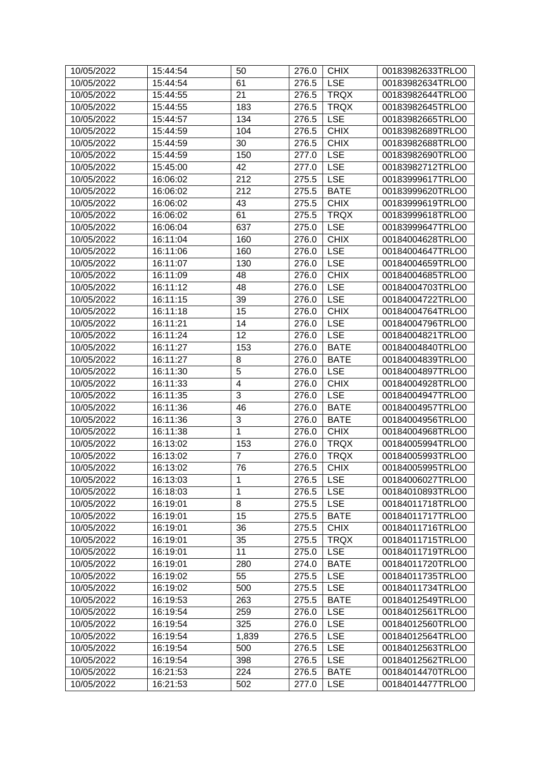| 10/05/2022 | 15:44:54 | 50                      | 276.0 | <b>CHIX</b> | 00183982633TRLO0 |
|------------|----------|-------------------------|-------|-------------|------------------|
| 10/05/2022 | 15:44:54 | 61                      | 276.5 | <b>LSE</b>  | 00183982634TRLO0 |
| 10/05/2022 | 15:44:55 | 21                      | 276.5 | <b>TRQX</b> | 00183982644TRLO0 |
| 10/05/2022 | 15:44:55 | 183                     | 276.5 | <b>TRQX</b> | 00183982645TRLO0 |
| 10/05/2022 | 15:44:57 | 134                     | 276.5 | <b>LSE</b>  | 00183982665TRLO0 |
| 10/05/2022 | 15:44:59 | 104                     | 276.5 | <b>CHIX</b> | 00183982689TRLO0 |
| 10/05/2022 | 15:44:59 | 30                      | 276.5 | <b>CHIX</b> | 00183982688TRLO0 |
| 10/05/2022 | 15:44:59 | 150                     | 277.0 | <b>LSE</b>  | 00183982690TRLO0 |
| 10/05/2022 | 15:45:00 | 42                      | 277.0 | <b>LSE</b>  | 00183982712TRLO0 |
| 10/05/2022 | 16:06:02 | 212                     | 275.5 | <b>LSE</b>  | 00183999617TRLO0 |
| 10/05/2022 | 16:06:02 | 212                     | 275.5 | <b>BATE</b> | 00183999620TRLO0 |
| 10/05/2022 | 16:06:02 | 43                      | 275.5 | <b>CHIX</b> | 00183999619TRLO0 |
| 10/05/2022 | 16:06:02 | 61                      | 275.5 | <b>TRQX</b> | 00183999618TRLO0 |
|            |          |                         |       |             |                  |
| 10/05/2022 | 16:06:04 | 637                     | 275.0 | <b>LSE</b>  | 00183999647TRLO0 |
| 10/05/2022 | 16:11:04 | 160                     | 276.0 | <b>CHIX</b> | 00184004628TRLO0 |
| 10/05/2022 | 16:11:06 | 160                     | 276.0 | <b>LSE</b>  | 00184004647TRLO0 |
| 10/05/2022 | 16:11:07 | 130                     | 276.0 | <b>LSE</b>  | 00184004659TRLO0 |
| 10/05/2022 | 16:11:09 | 48                      | 276.0 | <b>CHIX</b> | 00184004685TRLO0 |
| 10/05/2022 | 16:11:12 | 48                      | 276.0 | <b>LSE</b>  | 00184004703TRLO0 |
| 10/05/2022 | 16:11:15 | 39                      | 276.0 | <b>LSE</b>  | 00184004722TRLO0 |
| 10/05/2022 | 16:11:18 | 15                      | 276.0 | <b>CHIX</b> | 00184004764TRLO0 |
| 10/05/2022 | 16:11:21 | 14                      | 276.0 | <b>LSE</b>  | 00184004796TRLO0 |
| 10/05/2022 | 16:11:24 | 12                      | 276.0 | <b>LSE</b>  | 00184004821TRLO0 |
| 10/05/2022 | 16:11:27 | 153                     | 276.0 | <b>BATE</b> | 00184004840TRLO0 |
| 10/05/2022 | 16:11:27 | 8                       | 276.0 | <b>BATE</b> | 00184004839TRLO0 |
| 10/05/2022 | 16:11:30 | 5                       | 276.0 | <b>LSE</b>  | 00184004897TRLO0 |
| 10/05/2022 | 16:11:33 | $\overline{\mathbf{4}}$ | 276.0 | <b>CHIX</b> | 00184004928TRLO0 |
| 10/05/2022 | 16:11:35 | 3                       | 276.0 | <b>LSE</b>  | 00184004947TRLO0 |
| 10/05/2022 | 16:11:36 | 46                      | 276.0 | <b>BATE</b> | 00184004957TRLO0 |
| 10/05/2022 | 16:11:36 | 3                       | 276.0 | <b>BATE</b> | 00184004956TRLO0 |
| 10/05/2022 | 16:11:38 | 1                       | 276.0 | <b>CHIX</b> | 00184004968TRLO0 |
| 10/05/2022 | 16:13:02 | 153                     | 276.0 | <b>TRQX</b> | 00184005994TRLO0 |
| 10/05/2022 | 16:13:02 | 7                       | 276.0 | <b>TRQX</b> | 00184005993TRLO0 |
| 10/05/2022 | 16:13:02 | 76                      | 276.5 | <b>CHIX</b> | 00184005995TRLO0 |
| 10/05/2022 | 16:13:03 | 1                       | 276.5 | <b>LSE</b>  | 00184006027TRLO0 |
| 10/05/2022 | 16:18:03 | $\mathbf{1}$            | 276.5 | <b>LSE</b>  | 00184010893TRLO0 |
| 10/05/2022 | 16:19:01 | 8                       | 275.5 | <b>LSE</b>  | 00184011718TRLO0 |
| 10/05/2022 | 16:19:01 | 15                      | 275.5 | <b>BATE</b> | 00184011717TRLO0 |
| 10/05/2022 | 16:19:01 | 36                      | 275.5 | <b>CHIX</b> | 00184011716TRLO0 |
| 10/05/2022 | 16:19:01 | 35                      | 275.5 | <b>TRQX</b> | 00184011715TRLO0 |
| 10/05/2022 | 16:19:01 | 11                      | 275.0 | <b>LSE</b>  | 00184011719TRLO0 |
| 10/05/2022 | 16:19:01 | 280                     | 274.0 | <b>BATE</b> | 00184011720TRLO0 |
| 10/05/2022 | 16:19:02 | 55                      | 275.5 | <b>LSE</b>  | 00184011735TRLO0 |
| 10/05/2022 | 16:19:02 | 500                     | 275.5 | <b>LSE</b>  | 00184011734TRLO0 |
| 10/05/2022 | 16:19:53 | 263                     | 275.5 | <b>BATE</b> | 00184012549TRLO0 |
| 10/05/2022 | 16:19:54 | 259                     | 276.0 | <b>LSE</b>  | 00184012561TRLO0 |
| 10/05/2022 | 16:19:54 | 325                     | 276.0 | <b>LSE</b>  | 00184012560TRLO0 |
| 10/05/2022 | 16:19:54 | 1,839                   | 276.5 | <b>LSE</b>  | 00184012564TRLO0 |
| 10/05/2022 | 16:19:54 | 500                     | 276.5 | <b>LSE</b>  | 00184012563TRLO0 |
| 10/05/2022 | 16:19:54 | 398                     | 276.5 | <b>LSE</b>  | 00184012562TRLO0 |
| 10/05/2022 | 16:21:53 | 224                     | 276.5 | <b>BATE</b> | 00184014470TRLO0 |
| 10/05/2022 | 16:21:53 | 502                     | 277.0 | <b>LSE</b>  | 00184014477TRLO0 |
|            |          |                         |       |             |                  |